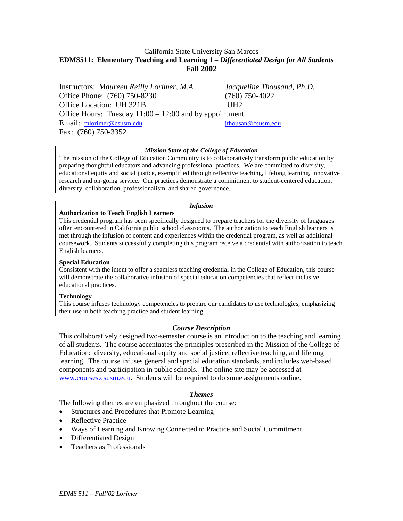# California State University San Marcos **EDMS511: Elementary Teaching and Learning 1 –** *Differentiated Design for All Students* **Fall 2002**

Instructors: *Maureen Reilly Lorimer, M.A. Jacqueline Thousand, Ph.D.* Office Phone: (760) 750-8230 (760) 750-4022 Office Location: UH 321B UH2 Office Hours: Tuesday 11:00 – 12:00 and by appointment Email: [mlorimer@csusm.edu](mailto:mlorimer@csusm.edu) ithousan@csusm.edu Fax: (760) 750-3352

# *Mission State of the College of Education*

The mission of the College of Education Community is to collaboratively transform public education by preparing thoughtful educators and advancing professional practices. We are committed to diversity, educational equity and social justice, exemplified through reflective teaching, lifelong learning, innovative research and on-going service. Our practices demonstrate a commitment to student-centered education, diversity, collaboration, professionalism, and shared governance.

# *Infusion*

### **Authorization to Teach English Learners**

This credential program has been specifically designed to prepare teachers for the diversity of languages often encountered in California public school classrooms. The authorization to teach English learners is met through the infusion of content and experiences within the credential program, as well as additional coursework. Students successfully completing this program receive a credential with authorization to teach English learners.

### **Special Education**

Consistent with the intent to offer a seamless teaching credential in the College of Education, this course will demonstrate the collaborative infusion of special education competencies that reflect inclusive educational practices.

### **Technology**

This course infuses technology competencies to prepare our candidates to use technologies, emphasizing their use in both teaching practice and student learning.

### *Course Description*

This collaboratively designed two-semester course is an introduction to the teaching and learning of all students. The course accentuates the principles prescribed in the Mission of the College of Education: diversity, educational equity and social justice, reflective teaching, and lifelong learning. The course infuses general and special education standards, and includes web-based components and participation in public schools. The online site may be accessed at [www.courses.csusm.edu.](http://www.courses.csusm.edu/) Students will be required to do some assignments online.

# *Themes*

The following themes are emphasized throughout the course:

- Structures and Procedures that Promote Learning
- Reflective Practice
- Ways of Learning and Knowing Connected to Practice and Social Commitment
- Differentiated Design
- Teachers as Professionals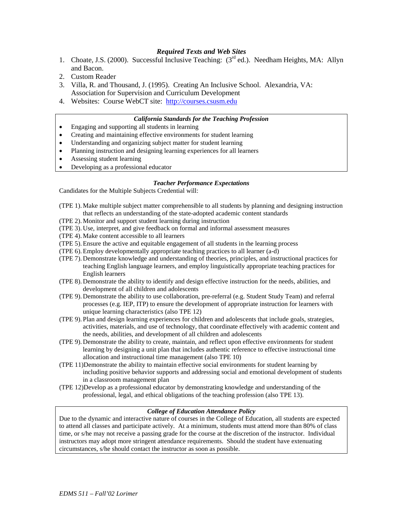# *Required Texts and Web Sites*

- 1. Choate, J.S. (2000). Successful Inclusive Teaching: (3<sup>rd</sup> ed.). Needham Heights, MA: Allyn and Bacon.
- 2. Custom Reader
- 3. Villa, R. and Thousand, J. (1995). Creating An Inclusive School. Alexandria, VA: Association for Supervision and Curriculum Development
- 4. Websites: Course WebCT site: [http://courses.csusm.edu](http://courses.csusm.edu/)

# *California Standards for the Teaching Profession*

- Engaging and supporting all students in learning
- Creating and maintaining effective environments for student learning
- Understanding and organizing subject matter for student learning
- Planning instruction and designing learning experiences for all learners
- Assessing student learning
- Developing as a professional educator

# *Teacher Performance Expectations*

Candidates for the Multiple Subjects Credential will:

- (TPE 1). Make multiple subject matter comprehensible to all students by planning and designing instruction that reflects an understanding of the state-adopted academic content standards
- (TPE 2). Monitor and support student learning during instruction
- 
- (TPE 3). Use, interpret, and give feedback on formal and informal assessment measures
- (TPE 4). Make content accessible to all learners
- (TPE 5).Ensure the active and equitable engagement of all students in the learning process
- (TPE 6).Employ developmentally appropriate teaching practices to all learner (a-d)
- (TPE 7). Demonstrate knowledge and understanding of theories, principles, and instructional practices for teaching English language learners, and employ linguistically appropriate teaching practices for English learners
- (TPE 8). Demonstrate the ability to identify and design effective instruction for the needs, abilities, and development of all children and adolescents
- (TPE 9). Demonstrate the ability to use collaboration, pre-referral (e.g. Student Study Team) and referral processes (e.g. IEP, ITP) to ensure the development of appropriate instruction for learners with unique learning characteristics (also TPE 12)
- (TPE 9). Plan and design learning experiences for children and adolescents that include goals, strategies, activities, materials, and use of technology, that coordinate effectively with academic content and the needs, abilities, and development of all children and adolescents
- (TPE 9). Demonstrate the ability to create, maintain, and reflect upon effective environments for student learning by designing a unit plan that includes authentic reference to effective instructional time allocation and instructional time management (also TPE 10)
- (TPE 11)Demonstrate the ability to maintain effective social environments for student learning by including positive behavior supports and addressing social and emotional development of students in a classroom management plan
- (TPE 12)Develop as a professional educator by demonstrating knowledge and understanding of the professional, legal, and ethical obligations of the teaching profession (also TPE 13).

# *College of Education Attendance Policy*

Due to the dynamic and interactive nature of courses in the College of Education, all students are expected to attend all classes and participate actively. At a minimum, students must attend more than 80% of class time, or s/he may not receive a passing grade for the course at the discretion of the instructor. Individual instructors may adopt more stringent attendance requirements. Should the student have extenuating circumstances, s/he should contact the instructor as soon as possible.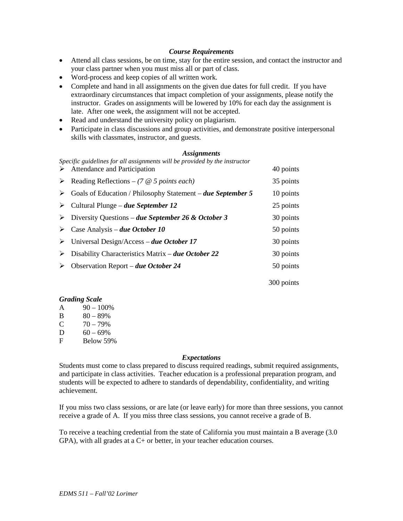# *Course Requirements*

- Attend all class sessions, be on time, stay for the entire session, and contact the instructor and your class partner when you must miss all or part of class.
- Word-process and keep copies of all written work.
- Complete and hand in all assignments on the given due dates for full credit. If you have extraordinary circumstances that impact completion of your assignments, please notify the instructor. Grades on assignments will be lowered by 10% for each day the assignment is late. After one week, the assignment will not be accepted.
- Read and understand the university policy on plagiarism.
- Participate in class discussions and group activities, and demonstrate positive interpersonal skills with classmates, instructor, and guests.

### *Assignments*

*Specific guidelines for all assignments will be provided by the instructor* Attendance and Participation 40 points

|   | Travellative and I differential                                              | TO POILLED. |
|---|------------------------------------------------------------------------------|-------------|
|   | Example Reflections – $(7 \t@ 5 points each)$                                | 35 points   |
|   | $\triangleright$ Goals of Education / Philosophy Statement – due September 5 | 10 points   |
|   | $\triangleright$ Cultural Plunge – due September 12                          | 25 points   |
|   | $\triangleright$ Diversity Questions – due September 26 & October 3          | 30 points   |
|   | $\triangleright$ Case Analysis – due October 10                              | 50 points   |
|   | $\triangleright$ Universal Design/Access – due October 17                    | 30 points   |
| ➤ | Disability Characteristics Matrix – due October 22                           | 30 points   |
| ➤ | Observation Report – due October 24                                          | 50 points   |
|   |                                                                              | 300 points  |

### *Grading Scale*

- A  $90 100\%$
- B  $80 89%$
- C  $70 79%$
- D  $60 69\%$
- F Below 59%

### *Expectations*

Students must come to class prepared to discuss required readings, submit required assignments, and participate in class activities. Teacher education is a professional preparation program, and students will be expected to adhere to standards of dependability, confidentiality, and writing achievement.

If you miss two class sessions, or are late (or leave early) for more than three sessions, you cannot receive a grade of A. If you miss three class sessions, you cannot receive a grade of B.

To receive a teaching credential from the state of California you must maintain a B average (3.0 GPA), with all grades at a C+ or better, in your teacher education courses.